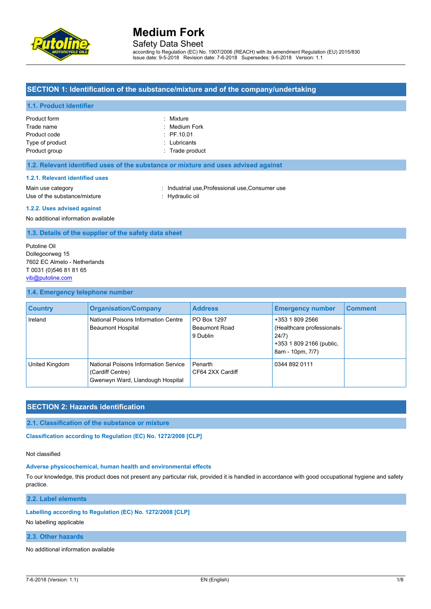

Safety Data Sheet

according to Regulation (EC) No. 1907/2006 (REACH) with its amendment Regulation (EU) 2015/830 Issue date: 9-5-2018 Revision date: 7-6-2018 Supersedes: 9-5-2018 Version: 1.1

### **SECTION 1: Identification of the substance/mixture and of the company/undertaking**

#### **1.1. Product identifier**

| : Mixture         |
|-------------------|
| : Medium Fork     |
| $:$ PF.10.01      |
| : Lubricants      |
| $:$ Trade product |
|                   |

#### **1.2. Relevant identified uses of the substance or mixture and uses advised against**

#### **1.2.1. Relevant identified uses**

Main use category **industrial use, Professional use, Consumer use** in Main use category Use of the substance/mixture : Hydraulic oil

#### **1.2.2. Uses advised against**

No additional information available

#### **1.3. Details of the supplier of the safety data sheet**

Putoline Oil Dollegoorweg 15 7602 EC Almelo - Netherlands T 0031 (0)546 81 81 65 [vib@putoline.com](mailto:vib@putoline.com)

#### **1.4. Emergency telephone number**

| <b>Country</b> | <b>Organisation/Company</b>                                                                  | <b>Address</b>                           | <b>Emergency number</b>                                                                                | <b>Comment</b> |
|----------------|----------------------------------------------------------------------------------------------|------------------------------------------|--------------------------------------------------------------------------------------------------------|----------------|
| Ireland        | National Poisons Information Centre<br><b>Beaumont Hospital</b>                              | PO Box 1297<br>Beaumont Road<br>9 Dublin | +353 1 809 2566<br>(Healthcare professionals-<br>24/7)<br>+353 1 809 2166 (public,<br>8am - 10pm, 7/7) |                |
| United Kingdom | National Poisons Information Service<br>(Cardiff Centre)<br>Gwenwyn Ward, Llandough Hospital | Penarth<br>CF64 2XX Cardiff              | 0344 892 0111                                                                                          |                |

### **SECTION 2: Hazards identification**

### **2.1. Classification of the substance or mixture**

Classification according to Regulation (EC) No. 1272/2008 [CLP]

#### Not classified

#### **Adverse physicochemical, human health and environmental effects**

To our knowledge, this product does not present any particular risk, provided it is handled in accordance with good occupational hygiene and safety practice.

**2.2. Label elements**

### **Labelling according to Regulation (EC) No. 1272/2008 [CLP]**

No labelling applicable

#### **2.3. Other hazards**

No additional information available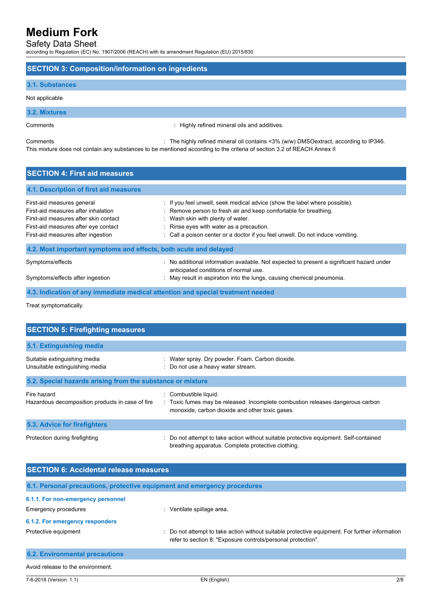Safety Data Sheet

according to Regulation (EC) No. 1907/2006 (REACH) with its amendment Regulation (EU) 2015/830

#### **SECTION 3: Composition/information on ingredients**

#### **3.1. Substances**

Not applicable

**3.2. Mixtures**

Comments : Highly refined mineral oils and additives.

Comments : The highly refined mineral oil contains <3% (w/w) DMSOextract, according to IP346. This mixture does not contain any substances to be mentioned according to the criteria of section 3.2 of REACH Annex II

## **SECTION 4: First aid measures 4.1. Description of first aid measures** First-aid measures general : If you feel unwell, seek medical advice (show the label where possible). First-aid measures after inhalation : Remove person to fresh air and keep comfortable for breathing. First-aid measures after skin contact : Wash skin with plenty of water. First-aid measures after eye contact : Rinse eyes with water as a precaution. First-aid measures after ingestion : Call a poison center or a doctor if you feel unwell. Do not induce vomiting **4.2. Most important symptoms and effects, both acute and delayed** Symptoms/effects : No additional information available. Not expected to present a significant hazard under anticipated conditions of normal use. Symptoms/effects after ingestion : May result in aspiration into the lungs, causing chemical pneumonia.

**4.3. Indication of any immediate medical attention and special treatment needed**

Treat symptomatically.

| <b>SECTION 5: Firefighting measures</b>                         |                                                                                                                                                            |
|-----------------------------------------------------------------|------------------------------------------------------------------------------------------------------------------------------------------------------------|
| 5.1. Extinguishing media                                        |                                                                                                                                                            |
| Suitable extinguishing media<br>Unsuitable extinguishing media  | : Water spray. Dry powder. Foam. Carbon dioxide.<br>: Do not use a heavy water stream.                                                                     |
| 5.2. Special hazards arising from the substance or mixture      |                                                                                                                                                            |
| Fire hazard<br>Hazardous decomposition products in case of fire | : Combustible liquid.<br>: Toxic fumes may be released. Incomplete combustion releases dangerous carbon<br>monoxide, carbon dioxide and other toxic gases. |
| <b>5.3. Advice for firefighters</b>                             |                                                                                                                                                            |
| Protection during firefighting                                  | : Do not attempt to take action without suitable protective equipment. Self-contained<br>breathing apparatus. Complete protective clothing.                |

| <b>SECTION 6: Accidental release measures</b>                            |                                                                                                                                                                |  |
|--------------------------------------------------------------------------|----------------------------------------------------------------------------------------------------------------------------------------------------------------|--|
| 6.1. Personal precautions, protective equipment and emergency procedures |                                                                                                                                                                |  |
| 6.1.1. For non-emergency personnel                                       |                                                                                                                                                                |  |
| Emergency procedures                                                     | : Ventilate spillage area.                                                                                                                                     |  |
| 6.1.2. For emergency responders                                          |                                                                                                                                                                |  |
| Protective equipment                                                     | : Do not attempt to take action without suitable protective equipment. For further information<br>refer to section 8: "Exposure controls/personal protection". |  |
| <b>6.2. Environmental precautions</b>                                    |                                                                                                                                                                |  |
| Avoid release to the environment.                                        |                                                                                                                                                                |  |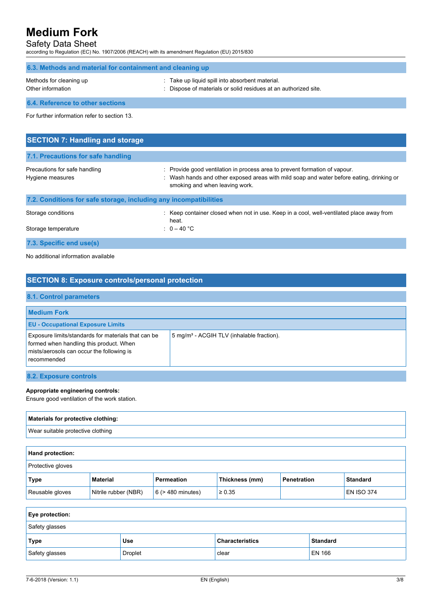### Safety Data Sheet

according to Regulation (EC) No. 1907/2006 (REACH) with its amendment Regulation (EU) 2015/830

| 6.3. Methods and material for containment and cleaning up |                                                                                                                                                                                                        |  |
|-----------------------------------------------------------|--------------------------------------------------------------------------------------------------------------------------------------------------------------------------------------------------------|--|
| Methods for cleaning up<br>Other information              | Take up liquid spill into absorbent material.<br>Dispose of materials or solid residues at an authorized site.                                                                                         |  |
| 6.4. Reference to other sections                          |                                                                                                                                                                                                        |  |
| For further information refer to section 13.              |                                                                                                                                                                                                        |  |
| <b>SECTION 7: Handling and storage</b>                    |                                                                                                                                                                                                        |  |
| 7.1. Precautions for safe handling                        |                                                                                                                                                                                                        |  |
| Precautions for safe handling<br>Hygiene measures         | Provide good ventilation in process area to prevent formation of vapour.<br>: Wash hands and other exposed areas with mild soap and water before eating, drinking or<br>smoking and when leaving work. |  |

| 7.2. Conditions for safe storage, including any incompatibilities |                                                                                                   |  |
|-------------------------------------------------------------------|---------------------------------------------------------------------------------------------------|--|
| Storage conditions                                                | : Keep container closed when not in use. Keep in a cool, well-ventilated place away from<br>heat. |  |
| Storage temperature                                               | : $0 - 40$ °C                                                                                     |  |
| 7.3. Specific end use(s)                                          |                                                                                                   |  |

No additional information available

| <b>SECTION 8: Exposure controls/personal protection</b>                                                                                                    |                                                       |  |
|------------------------------------------------------------------------------------------------------------------------------------------------------------|-------------------------------------------------------|--|
| 8.1. Control parameters                                                                                                                                    |                                                       |  |
| <b>Medium Fork</b>                                                                                                                                         |                                                       |  |
| <b>EU - Occupational Exposure Limits</b>                                                                                                                   |                                                       |  |
| Exposure limits/standards for materials that can be<br>formed when handling this product. When<br>mists/aerosols can occur the following is<br>recommended | 5 mg/m <sup>3</sup> - ACGIH TLV (inhalable fraction). |  |
| 8.2. Exposure controls                                                                                                                                     |                                                       |  |

#### **Appropriate engineering controls:**

Ensure good ventilation of the work station.

## **Materials for protective clothing:** Wear suitable protective clothing

| <b>Hand protection:</b>  |                      |                        |                |             |                   |
|--------------------------|----------------------|------------------------|----------------|-------------|-------------------|
| <b>Protective gloves</b> |                      |                        |                |             |                   |
| Type                     | Material             | Permeation             | Thickness (mm) | Penetration | <b>Standard</b>   |
| Reusable gloves          | Nitrile rubber (NBR) | $6$ ( $>$ 480 minutes) | $\geq 0.35$    |             | <b>EN ISO 374</b> |

| <b>Eye protection:</b> |            |                        |                 |
|------------------------|------------|------------------------|-----------------|
| Safety glasses         |            |                        |                 |
| Type                   | <b>Use</b> | <b>Characteristics</b> | <b>Standard</b> |
| Safety glasses         | Droplet    | clear                  | EN 166          |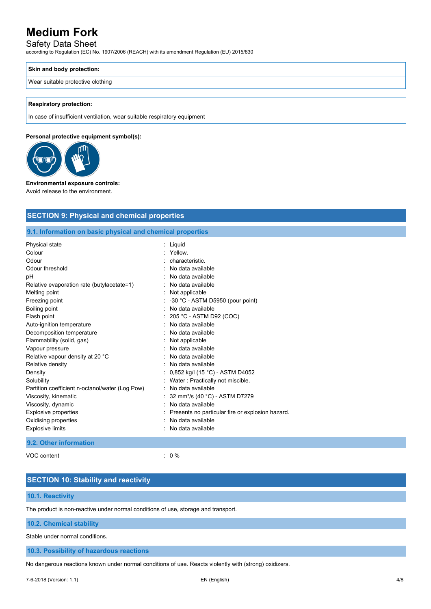## Safety Data Sheet

according to Regulation (EC) No. 1907/2006 (REACH) with its amendment Regulation (EU) 2015/830

#### **Skin and body protection:**

Wear suitable protective clothing

#### **Respiratory protection:**

In case of insufficient ventilation, wear suitable respiratory equipment

#### **Personal protective equipment symbol(s):**



#### **Environmental exposure controls:**

Avoid release to the environment.

| <b>SECTION 9: Physical and chemical properties</b>         |
|------------------------------------------------------------|
| 9.1. Information on basic physical and chemical properties |
| : Liquid                                                   |
| Yellow.                                                    |
| characteristic.                                            |
| No data available                                          |
| No data available                                          |
| No data available                                          |
| Not applicable                                             |
| $\therefore$ -30 °C - ASTM D5950 (pour point)              |
| No data available                                          |
| 205 °C - ASTM D92 (COC)                                    |
| No data available                                          |
| No data available                                          |
| Not applicable                                             |
| No data available                                          |
| No data available                                          |
| No data available                                          |
| 0,852 kg/l (15 °C) - ASTM D4052                            |
| Water: Practically not miscible.                           |
| No data available                                          |
| 32 mm <sup>2</sup> /s (40 °C) - ASTM D7279                 |
| No data available                                          |
| Presents no particular fire or explosion hazard.           |
| No data available                                          |
| No data available                                          |
|                                                            |

#### **9.2. Other information**

VOC content : 0 %

### **SECTION 10: Stability and reactivity**

### **10.1. Reactivity**

The product is non-reactive under normal conditions of use, storage and transport.

#### **10.2. Chemical stability**

Stable under normal conditions.

#### **10.3. Possibility of hazardous reactions**

No dangerous reactions known under normal conditions of use. Reacts violently with (strong) oxidizers.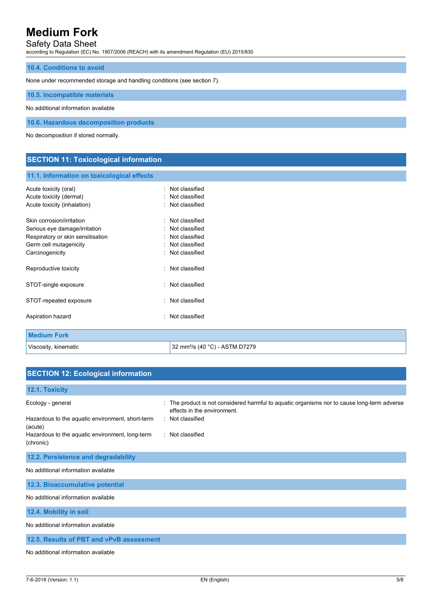### Safety Data Sheet

according to Regulation (EC) No. 1907/2006 (REACH) with its amendment Regulation (EU) 2015/830

#### **10.4. Conditions to avoid**

None under recommended storage and handling conditions (see section 7).

**10.5. Incompatible materials**

No additional information available

**10.6. Hazardous decomposition products**

No decomposition if stored normally.

### **SECTION 11: Toxicological information**

#### **11.1. Information on toxicological effects**

| Acute toxicity (oral)<br>Acute toxicity (dermal)<br>Acute toxicity (inhalation)                                                              | Not classified<br>Not classified<br>Not classified                                       |
|----------------------------------------------------------------------------------------------------------------------------------------------|------------------------------------------------------------------------------------------|
| Skin corrosion/irritation<br>Serious eye damage/irritation<br>Respiratory or skin sensitisation<br>Germ cell mutagenicity<br>Carcinogenicity | Not classified<br>Not classified<br>Not classified<br>Not classified<br>: Not classified |
| Reproductive toxicity                                                                                                                        | Not classified                                                                           |
| STOT-single exposure                                                                                                                         | Not classified                                                                           |
| STOT-repeated exposure                                                                                                                       | Not classified                                                                           |
| Aspiration hazard                                                                                                                            | Not classified                                                                           |
| <b>Medium Fork</b>                                                                                                                           |                                                                                          |

Viscosity, kinematic  $\vert$  32 mm<sup>2</sup>/s (40 °C) - ASTM D7279

## **SECTION 12: Ecological information 12.1. Toxicity** Ecology - general states of the product is not considered harmful to aquatic organisms nor to cause long-term adverse effects in the environment. Hazardous to the aquatic environment, short-term (acute) : Not classified Hazardous to the aquatic environment, long-term (chronic) : Not classified **12.2. Persistence and degradability** No additional information available **12.3. Bioaccumulative potential** No additional information available **12.4. Mobility in soil** No additional information available **12.5. Results of PBT and vPvB assessment**

No additional information available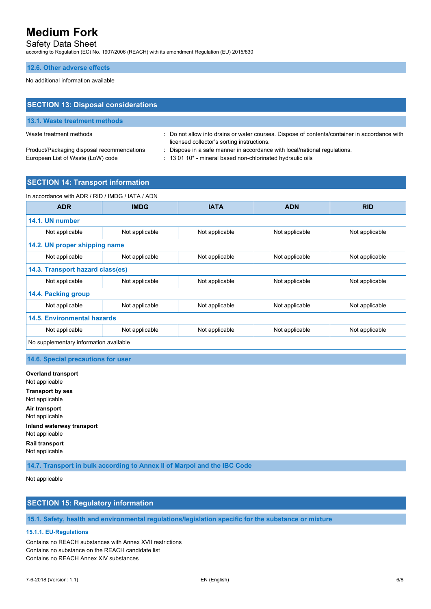Safety Data Sheet

according to Regulation (EC) No. 1907/2006 (REACH) with its amendment Regulation (EU) 2015/830

#### **12.6. Other adverse effects**

No additional information available

| <b>SECTION 13: Disposal considerations</b> |                                                                                                                                             |
|--------------------------------------------|---------------------------------------------------------------------------------------------------------------------------------------------|
| 13.1. Waste treatment methods              |                                                                                                                                             |
| Waste treatment methods                    | : Do not allow into drains or water courses. Dispose of contents/container in accordance with<br>licensed collector's sorting instructions. |

Product/Packaging disposal recommendations : Dispose in a safe manner in accordance with local/national regulations. European List of Waste (LoW) code : 13 01 10\* - mineral based non-chlorinated hydraulic oils

- 
- 
- **SECTION 14: Transport information**

| <b>ADR</b>                             | <b>IMDG</b>    | <b>IATA</b>    | <b>ADN</b>     | <b>RID</b>     |
|----------------------------------------|----------------|----------------|----------------|----------------|
|                                        |                |                |                |                |
| 14.1. UN number                        |                |                |                |                |
| Not applicable                         | Not applicable | Not applicable | Not applicable | Not applicable |
| 14.2. UN proper shipping name          |                |                |                |                |
| Not applicable                         | Not applicable | Not applicable | Not applicable | Not applicable |
| 14.3. Transport hazard class(es)       |                |                |                |                |
| Not applicable                         | Not applicable | Not applicable | Not applicable | Not applicable |
| 14.4. Packing group                    |                |                |                |                |
| Not applicable                         | Not applicable | Not applicable | Not applicable | Not applicable |
| 14.5. Environmental hazards            |                |                |                |                |
| Not applicable                         | Not applicable | Not applicable | Not applicable | Not applicable |
| No supplementary information available |                |                |                |                |

#### **14.6. Special precautions for user**

**Overland transport** Not applicable **Transport by sea** Not applicable **Air transport** Not applicable **Inland waterway transport** Not applicable **Rail transport** Not applicable

**14.7. Transport in bulk according to Annex II of Marpol and the IBC Code**

Not applicable

## **SECTION 15: Regulatory information**

**15.1. Safety, health and environmental regulations/legislation specific for the substance or mixture**

#### **15.1.1. EU-Regulations**

Contains no REACH substances with Annex XVII restrictions Contains no substance on the REACH candidate list Contains no REACH Annex XIV substances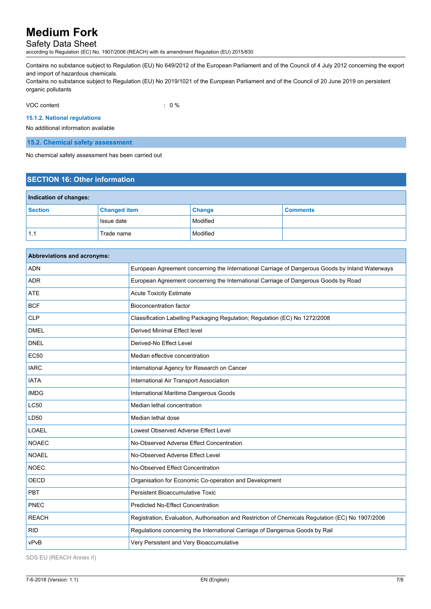## Safety Data Sheet

according to Regulation (EC) No. 1907/2006 (REACH) with its amendment Regulation (EU) 2015/830

Contains no substance subject to Regulation (EU) No 649/2012 of the European Parliament and of the Council of 4 July 2012 concerning the export and import of hazardous chemicals.

Contains no substance subject to Regulation (EU) No 2019/1021 of the European Parliament and of the Council of 20 June 2019 on persistent organic pollutants

VOC content : 0 %

#### **15.1.2. National regulations**

No additional information available

**15.2. Chemical safety assessment**

No chemical safety assessment has been carried out

## **SECTION 16: Other information**

| Indication of changes: |                     |               |                 |  |
|------------------------|---------------------|---------------|-----------------|--|
| Section                | <b>Changed item</b> | <b>Change</b> | <b>Comments</b> |  |
|                        | Issue date          | Modified      |                 |  |
| 1.1                    | Trade name          | Modified      |                 |  |

| Abbreviations and acronyms: |                                                                                                   |  |
|-----------------------------|---------------------------------------------------------------------------------------------------|--|
| <b>ADN</b>                  | European Agreement concerning the International Carriage of Dangerous Goods by Inland Waterways   |  |
| <b>ADR</b>                  | European Agreement concerning the International Carriage of Dangerous Goods by Road               |  |
| <b>ATE</b>                  | <b>Acute Toxicity Estimate</b>                                                                    |  |
| <b>BCF</b>                  | <b>Bioconcentration factor</b>                                                                    |  |
| <b>CLP</b>                  | Classification Labelling Packaging Regulation; Regulation (EC) No 1272/2008                       |  |
| <b>DMEL</b>                 | Derived Minimal Effect level                                                                      |  |
| <b>DNEL</b>                 | Derived-No Effect Level                                                                           |  |
| <b>EC50</b>                 | Median effective concentration                                                                    |  |
| <b>IARC</b>                 | International Agency for Research on Cancer                                                       |  |
| <b>IATA</b>                 | International Air Transport Association                                                           |  |
| <b>IMDG</b>                 | International Maritime Dangerous Goods                                                            |  |
| <b>LC50</b>                 | Median lethal concentration                                                                       |  |
| LD50                        | Median lethal dose                                                                                |  |
| LOAEL                       | Lowest Observed Adverse Effect Level                                                              |  |
| <b>NOAEC</b>                | No-Observed Adverse Effect Concentration                                                          |  |
| <b>NOAEL</b>                | No-Observed Adverse Effect Level                                                                  |  |
| <b>NOEC</b>                 | No-Observed Effect Concentration                                                                  |  |
| <b>OECD</b>                 | Organisation for Economic Co-operation and Development                                            |  |
| PBT                         | Persistent Bioaccumulative Toxic                                                                  |  |
| PNEC                        | <b>Predicted No-Effect Concentration</b>                                                          |  |
| <b>REACH</b>                | Registration, Evaluation, Authorisation and Restriction of Chemicals Regulation (EC) No 1907/2006 |  |
| <b>RID</b>                  | Regulations concerning the International Carriage of Dangerous Goods by Rail                      |  |
| vPvB                        | Very Persistent and Very Bioaccumulative                                                          |  |

SDS EU (REACH Annex II)